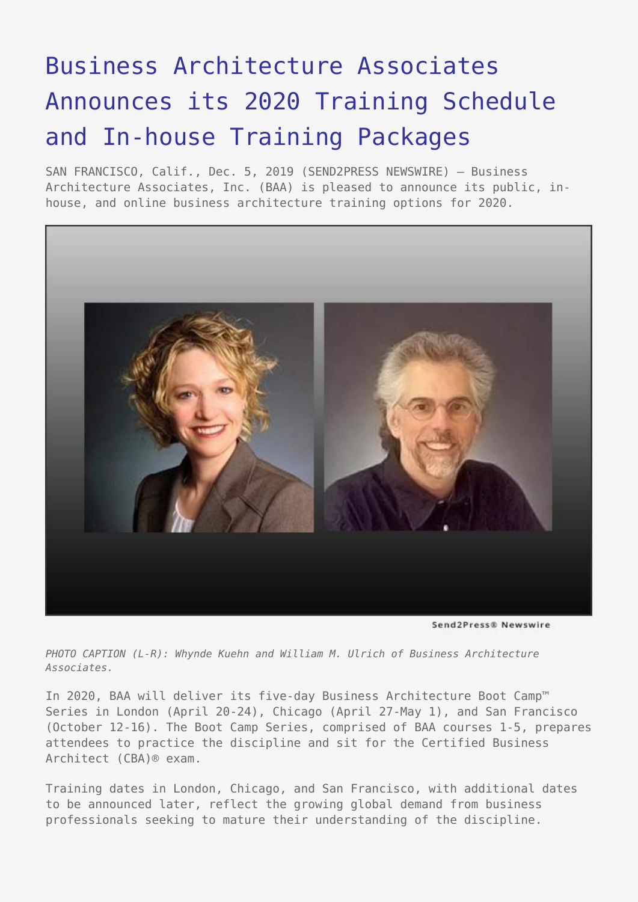# [Business Architecture Associates](https://www.send2press.com/wire/business-architecture-associates-announces-its-2020-training-schedule-and-in-house-training-packages/) [Announces its 2020 Training Schedule](https://www.send2press.com/wire/business-architecture-associates-announces-its-2020-training-schedule-and-in-house-training-packages/) [and In-house Training Packages](https://www.send2press.com/wire/business-architecture-associates-announces-its-2020-training-schedule-and-in-house-training-packages/)

SAN FRANCISCO, Calif., Dec. 5, 2019 (SEND2PRESS NEWSWIRE) — Business Architecture Associates, Inc. (BAA) is pleased to announce its public, inhouse, and online business architecture training options for 2020.



Send2Press® Newswire

*PHOTO CAPTION (L-R): Whynde Kuehn and William M. Ulrich of Business Architecture Associates.*

In 2020, BAA will deliver its five-day Business Architecture Boot Camp™ Series in London (April 20-24), Chicago (April 27-May 1), and San Francisco (October 12-16). The Boot Camp Series, comprised of BAA courses 1-5, prepares attendees to practice the discipline and sit for the Certified Business Architect (CBA)® exam.

Training dates in London, Chicago, and San Francisco, with additional dates to be announced later, reflect the growing global demand from business professionals seeking to mature their understanding of the discipline.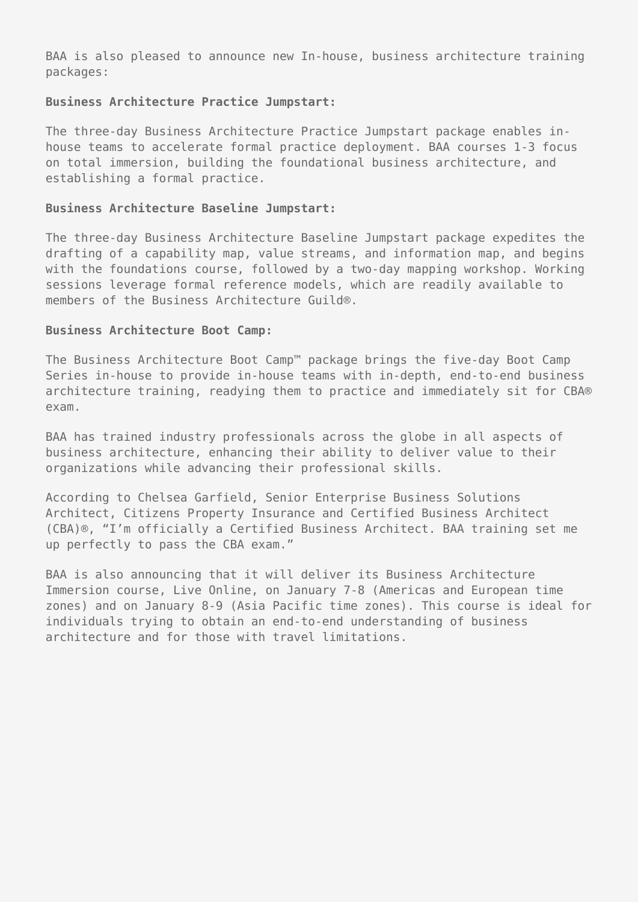BAA is also pleased to announce new In-house, business architecture training packages:

#### **Business Architecture Practice Jumpstart:**

The three-day Business Architecture Practice Jumpstart package enables inhouse teams to accelerate formal practice deployment. BAA courses 1-3 focus on total immersion, building the foundational business architecture, and establishing a formal practice.

### **Business Architecture Baseline Jumpstart:**

The three-day Business Architecture Baseline Jumpstart package expedites the drafting of a capability map, value streams, and information map, and begins with the foundations course, followed by a two-day mapping workshop. Working sessions leverage formal reference models, which are readily available to members of the Business Architecture Guild®.

### **Business Architecture Boot Camp:**

The Business Architecture Boot Camp™ package brings the five-day Boot Camp Series in-house to provide in-house teams with in-depth, end-to-end business architecture training, readying them to practice and immediately sit for CBA® exam.

BAA has trained industry professionals across the globe in all aspects of business architecture, enhancing their ability to deliver value to their organizations while advancing their professional skills.

According to Chelsea Garfield, Senior Enterprise Business Solutions Architect, Citizens Property Insurance and Certified Business Architect (CBA)®, "I'm officially a Certified Business Architect. BAA training set me up perfectly to pass the CBA exam."

BAA is also announcing that it will deliver its Business Architecture Immersion course, Live Online, on January 7-8 (Americas and European time zones) and on January 8-9 (Asia Pacific time zones). This course is ideal for individuals trying to obtain an end-to-end understanding of business architecture and for those with travel limitations.